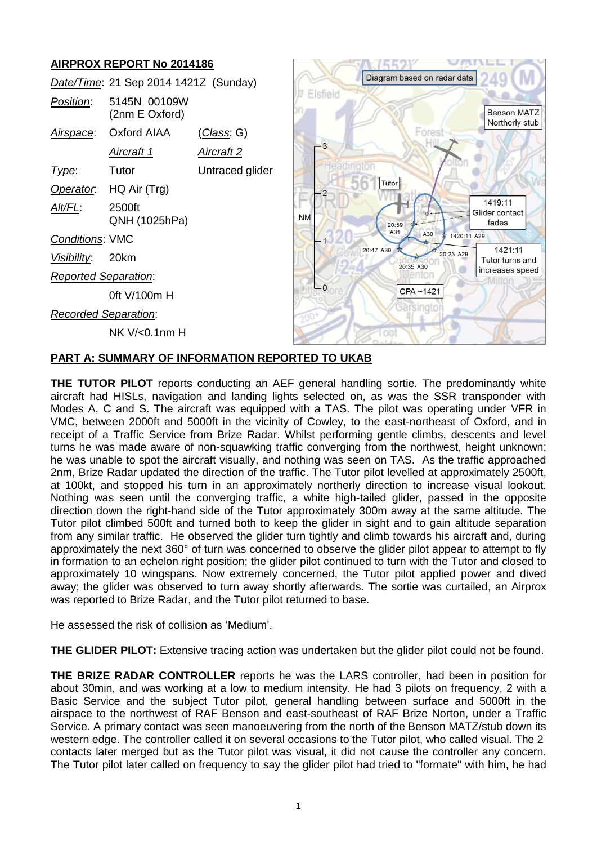# **AIRPROX REPORT No 2014186**

| <u>הווא וואס טובו שולו ואט בטופונס</u> |                                |                    |              |                                     |                                      |
|----------------------------------------|--------------------------------|--------------------|--------------|-------------------------------------|--------------------------------------|
| Date/Time: 21 Sep 2014 1421Z (Sunday)  |                                |                    |              | Diagram based on radar data         |                                      |
| Position:                              | 5145N 00109W<br>(2nm E Oxford) |                    | Elsfield     |                                     | <b>Benson MATZ</b><br>Northerly stub |
| Airspace:                              | <b>Oxford AIAA</b>             | <u> Class</u> : G) |              | Forest                              |                                      |
|                                        | <u>Aircraft 1</u>              | <u>Aircraft 2</u>  | $-3$         |                                     |                                      |
| Type:                                  | Tutor                          | Untraced glider    | Headington   |                                     |                                      |
| Operator.                              | HQ Air (Trg)                   |                    |              | Tutor                               |                                      |
| Alt/FL:                                | 2500ft<br>QNH (1025hPa)        |                    | <b>NM</b>    | 20:59                               | 1419:11<br>Glider contact<br>fades   |
| Conditions: VMC                        |                                |                    |              | A31<br>A30<br>1420:11 A29           |                                      |
| <u>Visibility:</u>                     | 20km                           |                    |              | 20:47 A30<br>20:23 A29<br>20:35 A30 | 1421:11<br>Tutor turns and           |
| <b>Reported Separation:</b>            |                                |                    |              |                                     | increases speed                      |
|                                        | 0ft V/100m H                   |                    | $\sqcup_{0}$ | CPA~1421                            |                                      |
| <b>Recorded Separation:</b>            |                                |                    |              | 3arsinoto                           |                                      |
|                                        | NK V/<0.1nm H                  |                    |              |                                     |                                      |

 $\sim$   $\sim$   $\sim$   $\sim$   $\sim$   $\sim$   $\sim$ 

**MAINELLE** 

## **PART A: SUMMARY OF INFORMATION REPORTED TO UKAB**

**THE TUTOR PILOT** reports conducting an AEF general handling sortie. The predominantly white aircraft had HISLs, navigation and landing lights selected on, as was the SSR transponder with Modes A, C and S. The aircraft was equipped with a TAS. The pilot was operating under VFR in VMC, between 2000ft and 5000ft in the vicinity of Cowley, to the east-northeast of Oxford, and in receipt of a Traffic Service from Brize Radar. Whilst performing gentle climbs, descents and level turns he was made aware of non-squawking traffic converging from the northwest, height unknown; he was unable to spot the aircraft visually, and nothing was seen on TAS. As the traffic approached 2nm, Brize Radar updated the direction of the traffic. The Tutor pilot levelled at approximately 2500ft, at 100kt, and stopped his turn in an approximately northerly direction to increase visual lookout. Nothing was seen until the converging traffic, a white high-tailed glider, passed in the opposite direction down the right-hand side of the Tutor approximately 300m away at the same altitude. The Tutor pilot climbed 500ft and turned both to keep the glider in sight and to gain altitude separation from any similar traffic. He observed the glider turn tightly and climb towards his aircraft and, during approximately the next 360° of turn was concerned to observe the glider pilot appear to attempt to fly in formation to an echelon right position; the glider pilot continued to turn with the Tutor and closed to approximately 10 wingspans. Now extremely concerned, the Tutor pilot applied power and dived away; the glider was observed to turn away shortly afterwards. The sortie was curtailed, an Airprox was reported to Brize Radar, and the Tutor pilot returned to base.

He assessed the risk of collision as 'Medium'.

**THE GLIDER PILOT:** Extensive tracing action was undertaken but the glider pilot could not be found.

**THE BRIZE RADAR CONTROLLER** reports he was the LARS controller, had been in position for about 30min, and was working at a low to medium intensity. He had 3 pilots on frequency, 2 with a Basic Service and the subject Tutor pilot, general handling between surface and 5000ft in the airspace to the northwest of RAF Benson and east-southeast of RAF Brize Norton, under a Traffic Service. A primary contact was seen manoeuvering from the north of the Benson MATZ/stub down its western edge. The controller called it on several occasions to the Tutor pilot, who called visual. The 2 contacts later merged but as the Tutor pilot was visual, it did not cause the controller any concern. The Tutor pilot later called on frequency to say the glider pilot had tried to "formate" with him, he had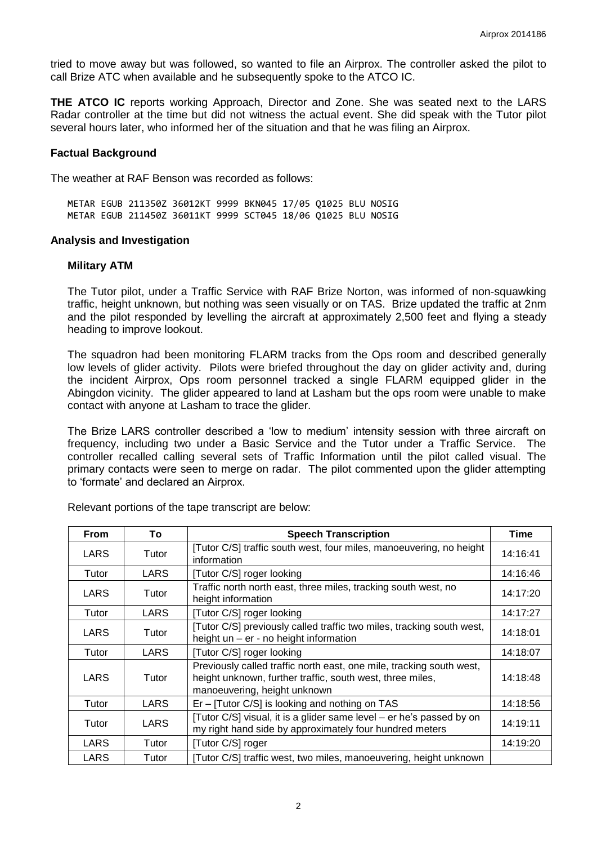tried to move away but was followed, so wanted to file an Airprox. The controller asked the pilot to call Brize ATC when available and he subsequently spoke to the ATCO IC.

**THE ATCO IC** reports working Approach, Director and Zone. She was seated next to the LARS Radar controller at the time but did not witness the actual event. She did speak with the Tutor pilot several hours later, who informed her of the situation and that he was filing an Airprox.

### **Factual Background**

The weather at RAF Benson was recorded as follows:

METAR EGUB 211350Z 36012KT 9999 BKN045 17/05 Q1025 BLU NOSIG METAR EGUB 211450Z 36011KT 9999 SCT045 18/06 Q1025 BLU NOSIG

### **Analysis and Investigation**

#### **Military ATM**

The Tutor pilot, under a Traffic Service with RAF Brize Norton, was informed of non-squawking traffic, height unknown, but nothing was seen visually or on TAS. Brize updated the traffic at 2nm and the pilot responded by levelling the aircraft at approximately 2,500 feet and flying a steady heading to improve lookout.

The squadron had been monitoring FLARM tracks from the Ops room and described generally low levels of glider activity. Pilots were briefed throughout the day on glider activity and, during the incident Airprox, Ops room personnel tracked a single FLARM equipped glider in the Abingdon vicinity. The glider appeared to land at Lasham but the ops room were unable to make contact with anyone at Lasham to trace the glider.

The Brize LARS controller described a 'low to medium' intensity session with three aircraft on frequency, including two under a Basic Service and the Tutor under a Traffic Service. The controller recalled calling several sets of Traffic Information until the pilot called visual. The primary contacts were seen to merge on radar. The pilot commented upon the glider attempting to 'formate' and declared an Airprox.

| <b>From</b> | To    | <b>Speech Transcription</b>                                                                                                                                       | Time     |
|-------------|-------|-------------------------------------------------------------------------------------------------------------------------------------------------------------------|----------|
| LARS        | Tutor | [Tutor C/S] traffic south west, four miles, manoeuvering, no height<br>information                                                                                | 14:16:41 |
| Tutor       | LARS  | [Tutor C/S] roger looking                                                                                                                                         | 14:16:46 |
| LARS        | Tutor | Traffic north north east, three miles, tracking south west, no<br>height information                                                                              | 14:17:20 |
| Tutor       | LARS  | [Tutor C/S] roger looking                                                                                                                                         | 14:17:27 |
| LARS        | Tutor | [Tutor C/S] previously called traffic two miles, tracking south west,<br>height un - er - no height information                                                   | 14:18:01 |
| Tutor       | LARS  | [Tutor C/S] roger looking                                                                                                                                         | 14:18:07 |
| LARS        | Tutor | Previously called traffic north east, one mile, tracking south west,<br>height unknown, further traffic, south west, three miles,<br>manoeuvering, height unknown | 14:18:48 |
| Tutor       | LARS  | Er – [Tutor C/S] is looking and nothing on TAS                                                                                                                    | 14:18:56 |
| Tutor       | LARS  | [Tutor C/S] visual, it is a glider same level – er he's passed by on<br>my right hand side by approximately four hundred meters                                   | 14:19:11 |
| LARS        | Tutor | [Tutor C/S] roger                                                                                                                                                 | 14:19:20 |
| LARS        | Tutor | [Tutor C/S] traffic west, two miles, manoeuvering, height unknown                                                                                                 |          |

Relevant portions of the tape transcript are below: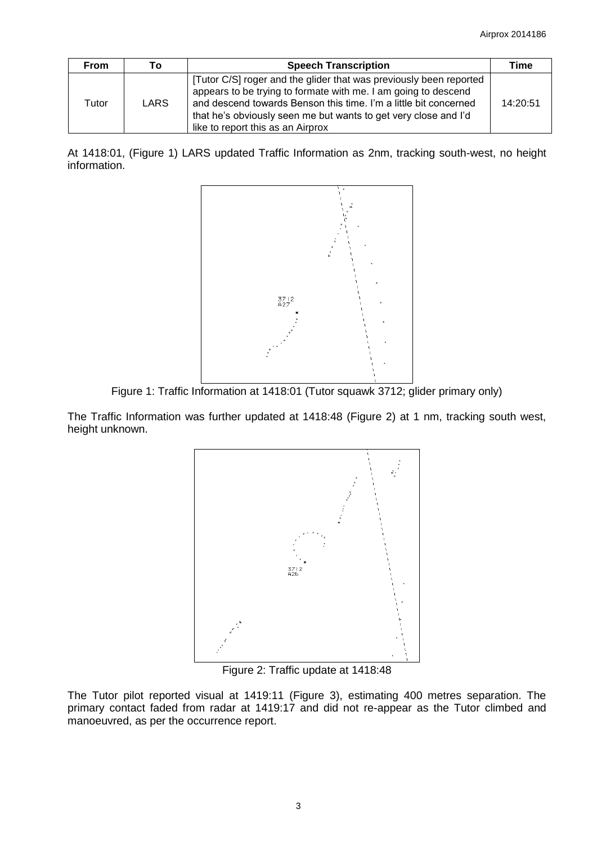| <b>From</b> | Т٥   | <b>Speech Transcription</b>                                                                                                                                                                                                                                                                                      | Time     |
|-------------|------|------------------------------------------------------------------------------------------------------------------------------------------------------------------------------------------------------------------------------------------------------------------------------------------------------------------|----------|
| Tutor       | LARS | [Tutor C/S] roger and the glider that was previously been reported<br>appears to be trying to formate with me. I am going to descend<br>and descend towards Benson this time. I'm a little bit concerned<br>that he's obviously seen me but wants to get very close and I'd<br>like to report this as an Airprox | 14:20:51 |

At 1418:01, (Figure 1) LARS updated Traffic Information as 2nm, tracking south-west, no height information.



Figure 1: Traffic Information at 1418:01 (Tutor squawk 3712; glider primary only)

The Traffic Information was further updated at 1418:48 (Figure 2) at 1 nm, tracking south west, height unknown.



Figure 2: Traffic update at 1418:48

The Tutor pilot reported visual at 1419:11 (Figure 3), estimating 400 metres separation. The primary contact faded from radar at 1419:17 and did not re-appear as the Tutor climbed and manoeuvred, as per the occurrence report.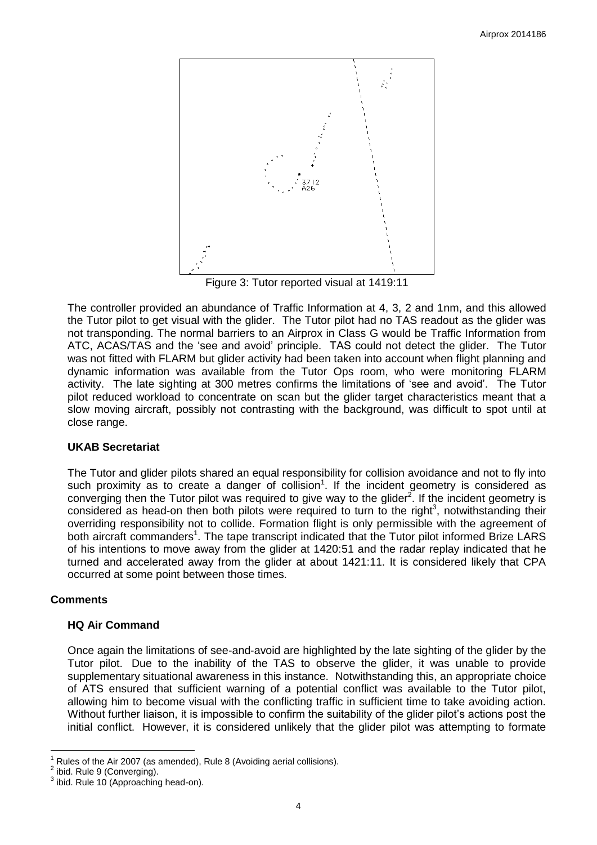![](_page_3_Figure_1.jpeg)

<span id="page-3-0"></span>Figure 3: Tutor reported visual at 1419:11

The controller provided an abundance of Traffic Information at 4, 3, 2 and 1nm, and this allowed the Tutor pilot to get visual with the glider. The Tutor pilot had no TAS readout as the glider was not transponding. The normal barriers to an Airprox in Class G would be Traffic Information from ATC, ACAS/TAS and the 'see and avoid' principle. TAS could not detect the glider. The Tutor was not fitted with FLARM but glider activity had been taken into account when flight planning and dynamic information was available from the Tutor Ops room, who were monitoring FLARM activity. The late sighting at 300 metres confirms the limitations of 'see and avoid'. The Tutor pilot reduced workload to concentrate on scan but the glider target characteristics meant that a slow moving aircraft, possibly not contrasting with the background, was difficult to spot until at close range.

## **UKAB Secretariat**

The Tutor and glider pilots shared an equal responsibility for collision avoidance and not to fly into such proximity as to create a danger of collision<sup>1</sup>. If the incident geometry is considered as converging then the Tutor pilot was required to give way to the glider<sup>2</sup>. If the incident geometry is considered as head-on then both pilots were required to turn to the right<sup>3</sup>, notwithstanding their overriding responsibility not to collide. Formation flight is only permissible with the agreement of both aircraft commanders<sup>[1](#page-3-0)</sup>. The tape transcript indicated that the Tutor pilot informed Brize LARS of his intentions to move away from the glider at 1420:51 and the radar replay indicated that he turned and accelerated away from the glider at about 1421:11. It is considered likely that CPA occurred at some point between those times.

## **Comments**

### **HQ Air Command**

Once again the limitations of see-and-avoid are highlighted by the late sighting of the glider by the Tutor pilot. Due to the inability of the TAS to observe the glider, it was unable to provide supplementary situational awareness in this instance. Notwithstanding this, an appropriate choice of ATS ensured that sufficient warning of a potential conflict was available to the Tutor pilot, allowing him to become visual with the conflicting traffic in sufficient time to take avoiding action. Without further liaison, it is impossible to confirm the suitability of the glider pilot's actions post the initial conflict. However, it is considered unlikely that the glider pilot was attempting to formate

 $\overline{a}$ 1 Rules of the Air 2007 (as amended), Rule 8 (Avoiding aerial collisions).

<sup>2</sup> ibid. Rule 9 (Converging).

 $3$  ibid. Rule 10 (Approaching head-on).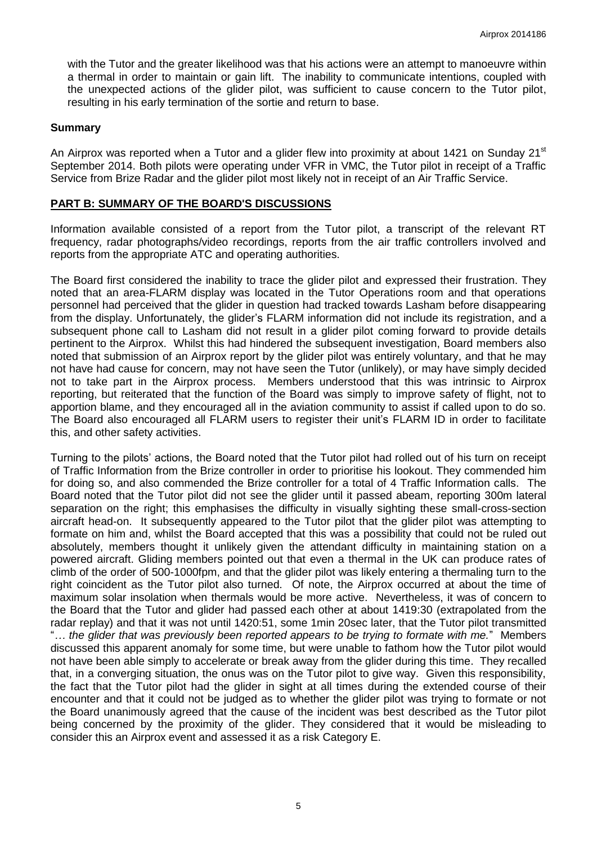with the Tutor and the greater likelihood was that his actions were an attempt to manoeuvre within a thermal in order to maintain or gain lift. The inability to communicate intentions, coupled with the unexpected actions of the glider pilot, was sufficient to cause concern to the Tutor pilot, resulting in his early termination of the sortie and return to base.

### **Summary**

An Airprox was reported when a Tutor and a glider flew into proximity at about 1421 on Sunday 21<sup>st</sup> September 2014. Both pilots were operating under VFR in VMC, the Tutor pilot in receipt of a Traffic Service from Brize Radar and the glider pilot most likely not in receipt of an Air Traffic Service.

### **PART B: SUMMARY OF THE BOARD'S DISCUSSIONS**

Information available consisted of a report from the Tutor pilot, a transcript of the relevant RT frequency, radar photographs/video recordings, reports from the air traffic controllers involved and reports from the appropriate ATC and operating authorities.

The Board first considered the inability to trace the glider pilot and expressed their frustration. They noted that an area-FLARM display was located in the Tutor Operations room and that operations personnel had perceived that the glider in question had tracked towards Lasham before disappearing from the display. Unfortunately, the glider's FLARM information did not include its registration, and a subsequent phone call to Lasham did not result in a glider pilot coming forward to provide details pertinent to the Airprox. Whilst this had hindered the subsequent investigation, Board members also noted that submission of an Airprox report by the glider pilot was entirely voluntary, and that he may not have had cause for concern, may not have seen the Tutor (unlikely), or may have simply decided not to take part in the Airprox process. Members understood that this was intrinsic to Airprox reporting, but reiterated that the function of the Board was simply to improve safety of flight, not to apportion blame, and they encouraged all in the aviation community to assist if called upon to do so. The Board also encouraged all FLARM users to register their unit's FLARM ID in order to facilitate this, and other safety activities.

Turning to the pilots' actions, the Board noted that the Tutor pilot had rolled out of his turn on receipt of Traffic Information from the Brize controller in order to prioritise his lookout. They commended him for doing so, and also commended the Brize controller for a total of 4 Traffic Information calls. The Board noted that the Tutor pilot did not see the glider until it passed abeam, reporting 300m lateral separation on the right; this emphasises the difficulty in visually sighting these small-cross-section aircraft head-on. It subsequently appeared to the Tutor pilot that the glider pilot was attempting to formate on him and, whilst the Board accepted that this was a possibility that could not be ruled out absolutely, members thought it unlikely given the attendant difficulty in maintaining station on a powered aircraft. Gliding members pointed out that even a thermal in the UK can produce rates of climb of the order of 500-1000fpm, and that the glider pilot was likely entering a thermaling turn to the right coincident as the Tutor pilot also turned. Of note, the Airprox occurred at about the time of maximum solar insolation when thermals would be more active. Nevertheless, it was of concern to the Board that the Tutor and glider had passed each other at about 1419:30 (extrapolated from the radar replay) and that it was not until 1420:51, some 1min 20sec later, that the Tutor pilot transmitted "*… the glider that was previously been reported appears to be trying to formate with me.*" Members discussed this apparent anomaly for some time, but were unable to fathom how the Tutor pilot would not have been able simply to accelerate or break away from the glider during this time. They recalled that, in a converging situation, the onus was on the Tutor pilot to give way. Given this responsibility, the fact that the Tutor pilot had the glider in sight at all times during the extended course of their encounter and that it could not be judged as to whether the glider pilot was trying to formate or not the Board unanimously agreed that the cause of the incident was best described as the Tutor pilot being concerned by the proximity of the glider. They considered that it would be misleading to consider this an Airprox event and assessed it as a risk Category E.